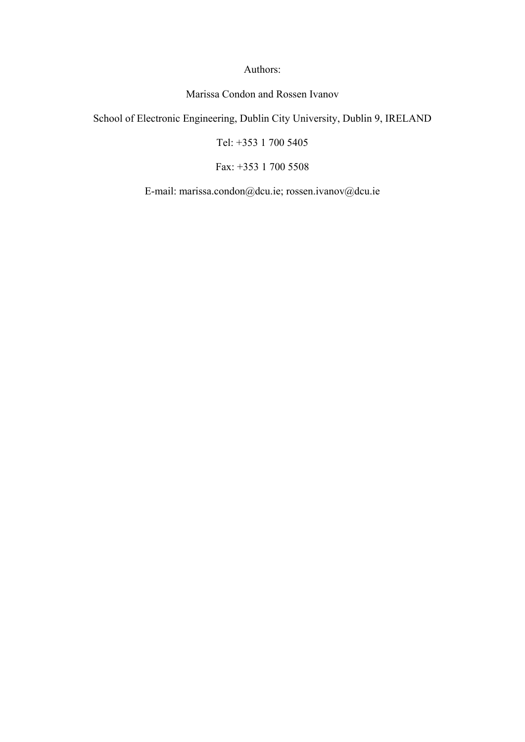Authors:

Marissa Condon and Rossen Ivanov

School of Electronic Engineering, Dublin City University, Dublin 9, IRELAND

Tel: +353 1 700 5405

Fax: +353 1 700 5508

E-mail: marissa.condon@dcu.ie; rossen.ivanov@dcu.ie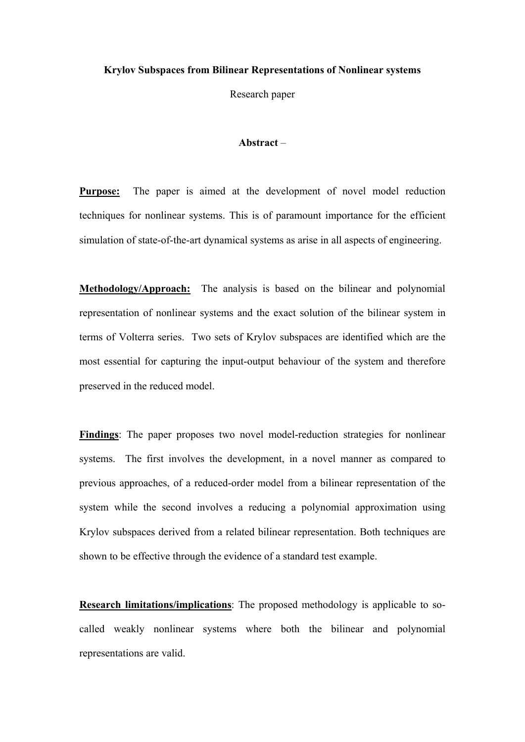#### **Krylov Subspaces from Bilinear Representations of Nonlinear systems**

Research paper

# **Abstract** –

**Purpose:** The paper is aimed at the development of novel model reduction techniques for nonlinear systems. This is of paramount importance for the efficient simulation of state-of-the-art dynamical systems as arise in all aspects of engineering.

**Methodology/Approach:** The analysis is based on the bilinear and polynomial representation of nonlinear systems and the exact solution of the bilinear system in terms of Volterra series. Two sets of Krylov subspaces are identified which are the most essential for capturing the input-output behaviour of the system and therefore preserved in the reduced model.

**Findings**: The paper proposes two novel model-reduction strategies for nonlinear systems. The first involves the development, in a novel manner as compared to previous approaches, of a reduced-order model from a bilinear representation of the system while the second involves a reducing a polynomial approximation using Krylov subspaces derived from a related bilinear representation. Both techniques are shown to be effective through the evidence of a standard test example.

**Research limitations/implications**: The proposed methodology is applicable to socalled weakly nonlinear systems where both the bilinear and polynomial representations are valid.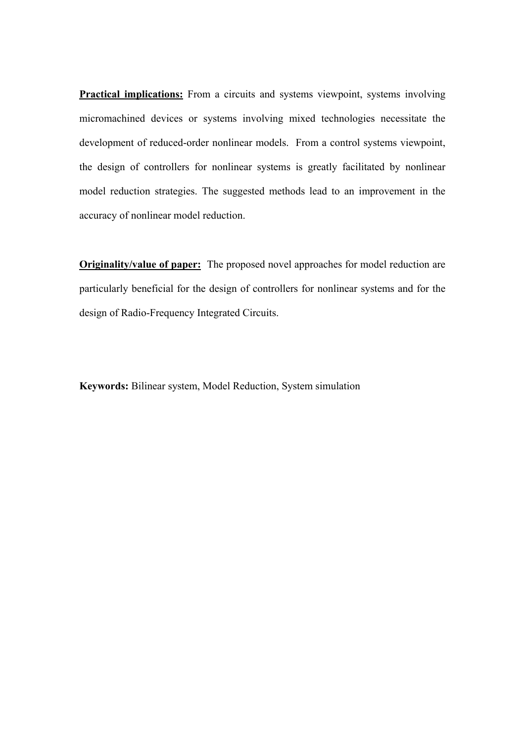**Practical implications:** From a circuits and systems viewpoint, systems involving micromachined devices or systems involving mixed technologies necessitate the development of reduced-order nonlinear models. From a control systems viewpoint, the design of controllers for nonlinear systems is greatly facilitated by nonlinear model reduction strategies. The suggested methods lead to an improvement in the accuracy of nonlinear model reduction.

**Originality/value of paper:** The proposed novel approaches for model reduction are particularly beneficial for the design of controllers for nonlinear systems and for the design of Radio-Frequency Integrated Circuits.

**Keywords:** Bilinear system, Model Reduction, System simulation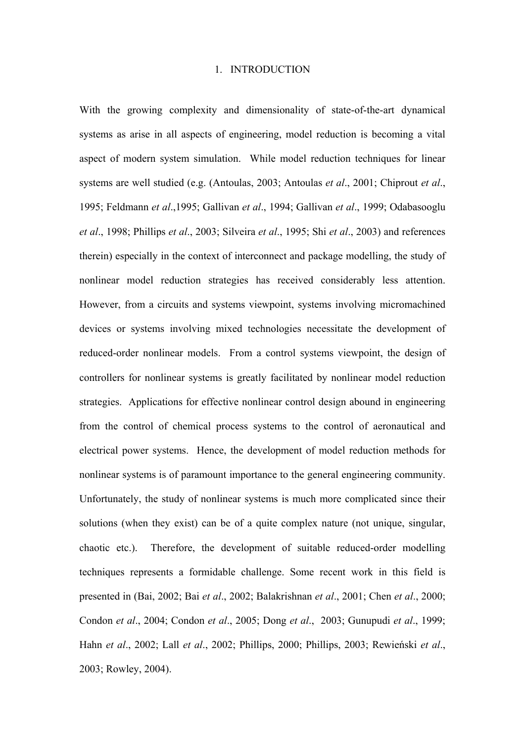#### 1. INTRODUCTION

With the growing complexity and dimensionality of state-of-the-art dynamical systems as arise in all aspects of engineering, model reduction is becoming a vital aspect of modern system simulation. While model reduction techniques for linear systems are well studied (e.g. (Antoulas, 2003; Antoulas *et al*., 2001; Chiprout *et al*., 1995; Feldmann *et al*.,1995; Gallivan *et al*., 1994; Gallivan *et al*., 1999; Odabasooglu *et al*., 1998; Phillips *et al*., 2003; Silveira *et al*., 1995; Shi *et al*., 2003) and references therein) especially in the context of interconnect and package modelling, the study of nonlinear model reduction strategies has received considerably less attention. However, from a circuits and systems viewpoint, systems involving micromachined devices or systems involving mixed technologies necessitate the development of reduced-order nonlinear models. From a control systems viewpoint, the design of controllers for nonlinear systems is greatly facilitated by nonlinear model reduction strategies. Applications for effective nonlinear control design abound in engineering from the control of chemical process systems to the control of aeronautical and electrical power systems. Hence, the development of model reduction methods for nonlinear systems is of paramount importance to the general engineering community. Unfortunately, the study of nonlinear systems is much more complicated since their solutions (when they exist) can be of a quite complex nature (not unique, singular, chaotic etc.). Therefore, the development of suitable reduced-order modelling techniques represents a formidable challenge. Some recent work in this field is presented in (Bai, 2002; Bai *et al*., 2002; Balakrishnan *et al*., 2001; Chen *et al*., 2000; Condon *et al*., 2004; Condon *et al*., 2005; Dong *et al*., 2003; Gunupudi *et al*., 1999; Hahn *et al*., 2002; Lall *et al*., 2002; Phillips, 2000; Phillips, 2003; Rewieński *et al*., 2003; Rowley, 2004).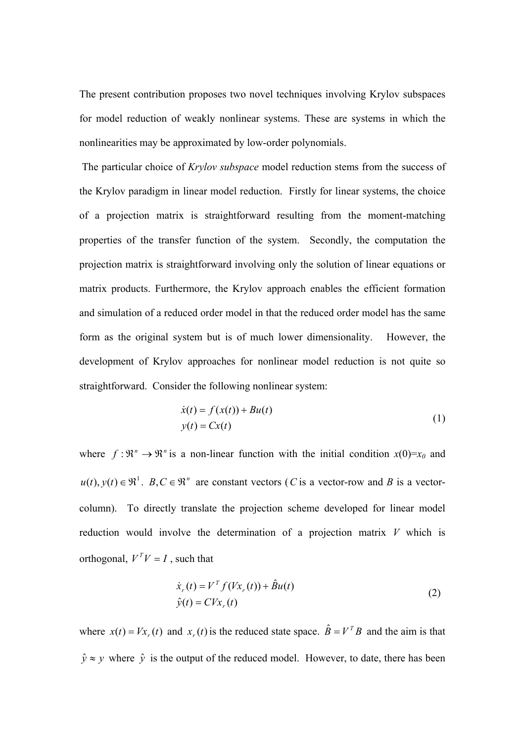The present contribution proposes two novel techniques involving Krylov subspaces for model reduction of weakly nonlinear systems. These are systems in which the nonlinearities may be approximated by low-order polynomials.

 The particular choice of *Krylov subspace* model reduction stems from the success of the Krylov paradigm in linear model reduction. Firstly for linear systems, the choice of a projection matrix is straightforward resulting from the moment-matching properties of the transfer function of the system. Secondly, the computation the projection matrix is straightforward involving only the solution of linear equations or matrix products. Furthermore, the Krylov approach enables the efficient formation and simulation of a reduced order model in that the reduced order model has the same form as the original system but is of much lower dimensionality. However, the development of Krylov approaches for nonlinear model reduction is not quite so straightforward. Consider the following nonlinear system:

$$
\begin{aligned} \dot{x}(t) &= f(x(t)) + Bu(t) \\ y(t) &= Cx(t) \end{aligned} \tag{1}
$$

where  $f: \mathbb{R}^n \to \mathbb{R}^n$  is a non-linear function with the initial condition  $x(0)=x_0$  and  $u(t)$ ,  $y(t) \in \mathbb{R}^1$ .  $B, C \in \mathbb{R}^n$  are constant vectors (*C* is a vector-row and *B* is a vectorcolumn). To directly translate the projection scheme developed for linear model reduction would involve the determination of a projection matrix *V* which is orthogonal,  $V^T V = I$ , such that

$$
\dot{x}_r(t) = V^T f(Vx_r(t)) + \hat{B}u(t)
$$
  
\n
$$
\hat{y}(t) = CVx_r(t)
$$
\n(2)

where  $x(t) = Vx(x)$  and  $x(x)$  is the reduced state space.  $\hat{B} = V^T B$  and the aim is that  $\hat{y} \approx y$  where  $\hat{y}$  is the output of the reduced model. However, to date, there has been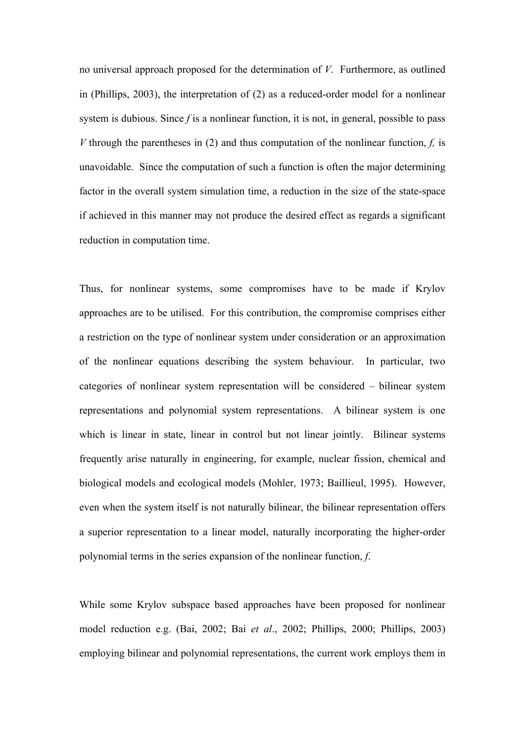no universal approach proposed for the determination of *V*. Furthermore, as outlined in (Phillips, 2003), the interpretation of (2) as a reduced-order model for a nonlinear system is dubious. Since *f* is a nonlinear function, it is not, in general, possible to pass *V* through the parentheses in (2) and thus computation of the nonlinear function, *f,* is unavoidable. Since the computation of such a function is often the major determining factor in the overall system simulation time, a reduction in the size of the state-space if achieved in this manner may not produce the desired effect as regards a significant reduction in computation time.

Thus, for nonlinear systems, some compromises have to be made if Krylov approaches are to be utilised. For this contribution, the compromise comprises either a restriction on the type of nonlinear system under consideration or an approximation of the nonlinear equations describing the system behaviour. In particular, two categories of nonlinear system representation will be considered – bilinear system representations and polynomial system representations. A bilinear system is one which is linear in state, linear in control but not linear jointly. Bilinear systems frequently arise naturally in engineering, for example, nuclear fission, chemical and biological models and ecological models (Mohler, 1973; Baillieul, 1995). However, even when the system itself is not naturally bilinear, the bilinear representation offers a superior representation to a linear model, naturally incorporating the higher-order polynomial terms in the series expansion of the nonlinear function, *f*.

While some Krylov subspace based approaches have been proposed for nonlinear model reduction e.g. (Bai, 2002; Bai *et al*., 2002; Phillips, 2000; Phillips, 2003) employing bilinear and polynomial representations, the current work employs them in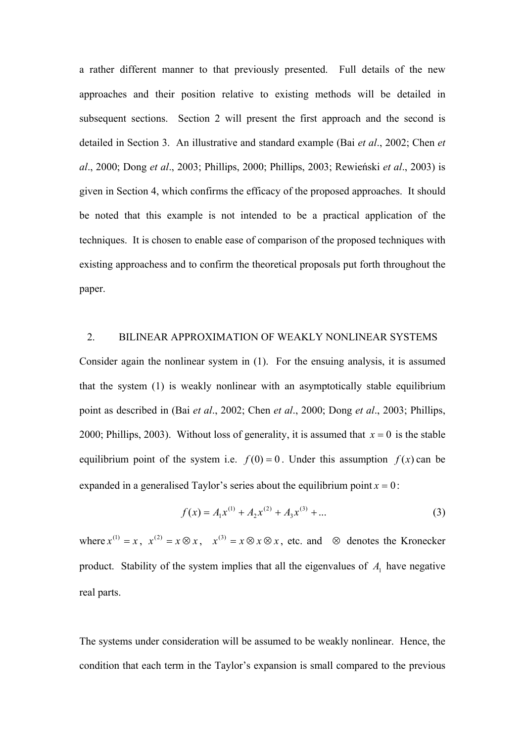a rather different manner to that previously presented. Full details of the new approaches and their position relative to existing methods will be detailed in subsequent sections. Section 2 will present the first approach and the second is detailed in Section 3. An illustrative and standard example (Bai *et al*., 2002; Chen *et al*., 2000; Dong *et al*., 2003; Phillips, 2000; Phillips, 2003; Rewieński *et al*., 2003) is given in Section 4, which confirms the efficacy of the proposed approaches. It should be noted that this example is not intended to be a practical application of the techniques. It is chosen to enable ease of comparison of the proposed techniques with existing approachess and to confirm the theoretical proposals put forth throughout the paper.

# 2. BILINEAR APPROXIMATION OF WEAKLY NONLINEAR SYSTEMS

Consider again the nonlinear system in (1). For the ensuing analysis, it is assumed that the system (1) is weakly nonlinear with an asymptotically stable equilibrium point as described in (Bai *et al*., 2002; Chen *et al*., 2000; Dong *et al*., 2003; Phillips, 2000; Phillips, 2003). Without loss of generality, it is assumed that  $x = 0$  is the stable equilibrium point of the system i.e.  $f(0) = 0$ . Under this assumption  $f(x)$  can be expanded in a generalised Taylor's series about the equilibrium point  $x = 0$ :

$$
f(x) = A_1 x^{(1)} + A_2 x^{(2)} + A_3 x^{(3)} + \dots
$$
 (3)

where  $x^{(1)} = x$ ,  $x^{(2)} = x \otimes x$ ,  $x^{(3)} = x \otimes x \otimes x$ , etc. and  $\otimes$  denotes the Kronecker product. Stability of the system implies that all the eigenvalues of  $A_1$  have negative real parts.

The systems under consideration will be assumed to be weakly nonlinear. Hence, the condition that each term in the Taylor's expansion is small compared to the previous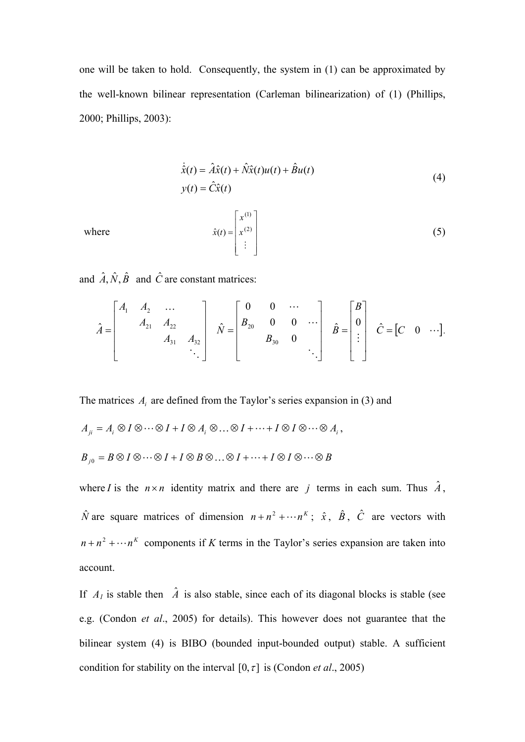one will be taken to hold. Consequently, the system in (1) can be approximated by the well-known bilinear representation (Carleman bilinearization) of (1) (Phillips, 2000; Phillips, 2003):

$$
\dot{\hat{x}}(t) = \hat{A}\hat{x}(t) + \hat{N}\hat{x}(t)u(t) + \hat{B}u(t)
$$
\n
$$
y(t) = \hat{C}\hat{x}(t)
$$
\n(4)

where

$$
\hat{x}(t) = \begin{bmatrix} x^{(1)} \\ x^{(2)} \\ \vdots \end{bmatrix}
$$
 (5)

and  $\hat{A}$ ,  $\hat{N}$ ,  $\hat{B}$  and  $\hat{C}$  are constant matrices:

$$
\hat{A} = \begin{bmatrix} A_1 & A_2 & \dots & & \\ & A_{21} & A_{22} & \\ & & A_{31} & A_{32} \\ & & & \ddots \end{bmatrix} \quad \hat{N} = \begin{bmatrix} 0 & 0 & \cdots & \\ B_{20} & 0 & 0 & \cdots \\ & & B_{30} & 0 \\ & & & \ddots \end{bmatrix} \quad \hat{B} = \begin{bmatrix} B \\ 0 \\ \vdots \\ \vdots \end{bmatrix} \quad \hat{C} = \begin{bmatrix} C & 0 & \cdots \end{bmatrix}.
$$

The matrices  $A_i$  are defined from the Taylor's series expansion in (3) and

$$
A_{ji} = A_i \otimes I \otimes \cdots \otimes I + I \otimes A_i \otimes \cdots \otimes I + \cdots + I \otimes I \otimes \cdots \otimes A_i,
$$
  

$$
B_{j0} = B \otimes I \otimes \cdots \otimes I + I \otimes B \otimes \cdots \otimes I + \cdots + I \otimes I \otimes \cdots \otimes B
$$

where *I* is the  $n \times n$  identity matrix and there are *j* terms in each sum. Thus  $\hat{A}$ ,  $\hat{N}$  are square matrices of dimension  $n + n^2 + \cdots + n^k$ ;  $\hat{x}$ ,  $\hat{B}$ ,  $\hat{C}$  are vectors with  $n + n^2 + \cdots + n^k$  components if *K* terms in the Taylor's series expansion are taken into account.

If  $A_1$  is stable then  $\hat{A}$  is also stable, since each of its diagonal blocks is stable (see e.g. (Condon *et al*., 2005) for details). This however does not guarantee that the bilinear system (4) is BIBO (bounded input-bounded output) stable. A sufficient condition for stability on the interval  $[0, \tau]$  is (Condon *et al.*, 2005)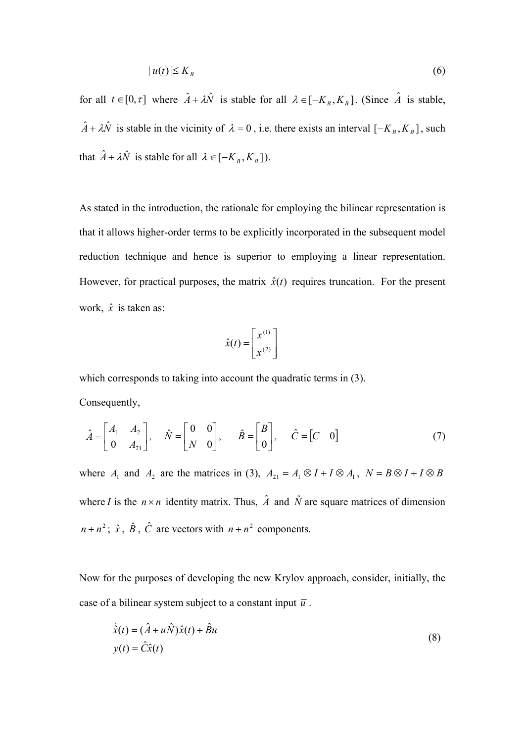$$
|u(t)| \le K_B \tag{6}
$$

for all  $t \in [0, \tau]$  where  $\hat{A} + \lambda \hat{N}$  is stable for all  $\lambda \in [-K_B, K_B]$ . (Since  $\hat{A}$  is stable,  $\hat{A} + \lambda \hat{N}$  is stable in the vicinity of  $\lambda = 0$ , i.e. there exists an interval  $[-K_B, K_B]$ , such that  $\hat{A} + \lambda \hat{N}$  is stable for all  $\lambda \in [-K_B, K_B]$ ).

As stated in the introduction, the rationale for employing the bilinear representation is that it allows higher-order terms to be explicitly incorporated in the subsequent model reduction technique and hence is superior to employing a linear representation. However, for practical purposes, the matrix  $\hat{x}(t)$  requires truncation. For the present work,  $\hat{x}$  is taken as:

$$
\hat{x}(t) = \begin{bmatrix} x^{(1)} \\ x^{(2)} \end{bmatrix}
$$

which corresponds to taking into account the quadratic terms in  $(3)$ . Consequently,

$$
\hat{A} = \begin{bmatrix} A_1 & A_2 \\ 0 & A_{21} \end{bmatrix}, \quad \hat{N} = \begin{bmatrix} 0 & 0 \\ N & 0 \end{bmatrix}, \quad \hat{B} = \begin{bmatrix} B \\ 0 \end{bmatrix}, \quad \hat{C} = \begin{bmatrix} C & 0 \end{bmatrix}
$$
(7)

where  $A_1$  and  $A_2$  are the matrices in (3),  $A_{21} = A_1 \otimes I + I \otimes A_1$ ,  $N = B \otimes I + I \otimes B$ where *I* is the  $n \times n$  identity matrix. Thus,  $\hat{A}$  and  $\hat{N}$  are square matrices of dimension  $n + n^2$ ;  $\hat{x}$ ,  $\hat{B}$ ,  $\hat{C}$  are vectors with  $n + n^2$  components.

Now for the purposes of developing the new Krylov approach, consider, initially, the case of a bilinear system subject to a constant input  $\bar{u}$ .

$$
\dot{\hat{x}}(t) = (\hat{A} + \overline{u}\hat{N})\hat{x}(t) + \hat{B}\overline{u}
$$
  
\n
$$
y(t) = \hat{C}\hat{x}(t)
$$
\n(8)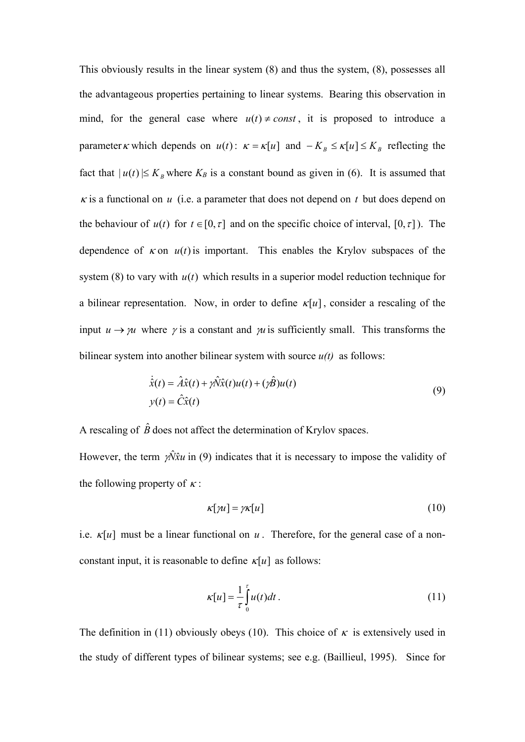This obviously results in the linear system (8) and thus the system, (8), possesses all the advantageous properties pertaining to linear systems. Bearing this observation in mind, for the general case where  $u(t) \neq const$ , it is proposed to introduce a parameter *k* which depends on  $u(t)$ :  $\kappa = \kappa[u]$  and  $-K_B \le \kappa[u] \le K_B$  reflecting the fact that  $|u(t)| \leq K_B$  where  $K_B$  is a constant bound as given in (6). It is assumed that  $\kappa$  is a functional on  $u$  (i.e. a parameter that does not depend on  $t$  but does depend on the behaviour of  $u(t)$  for  $t \in [0, \tau]$  and on the specific choice of interval,  $[0, \tau]$ ). The dependence of  $\kappa$  on  $u(t)$  is important. This enables the Krylov subspaces of the system (8) to vary with *u*(*t*) which results in a superior model reduction technique for a bilinear representation. Now, in order to define  $\kappa[u]$ , consider a rescaling of the input  $u \rightarrow \mu$  where  $\gamma$  is a constant and  $\mu$  is sufficiently small. This transforms the bilinear system into another bilinear system with source *u(t)* as follows:

$$
\dot{\hat{x}}(t) = \hat{A}\hat{x}(t) + \gamma \hat{N}\hat{x}(t)u(t) + (\gamma \hat{B})u(t)
$$
  
\n
$$
y(t) = \hat{C}\hat{x}(t)
$$
\n(9)

A rescaling of  $\hat{B}$  does not affect the determination of Krylov spaces.

However, the term  $\gamma \hat{N} \hat{x} u$  in (9) indicates that it is necessary to impose the validity of the following property of  $\kappa$ :

$$
\kappa[\gamma u] = \gamma \kappa[u] \tag{10}
$$

i.e.  $\kappa[u]$  must be a linear functional on  $u$ . Therefore, for the general case of a nonconstant input, it is reasonable to define  $\kappa[u]$  as follows:

$$
\kappa[u] = \frac{1}{\tau} \int_{0}^{\tau} u(t)dt.
$$
 (11)

The definition in (11) obviously obeys (10). This choice of  $\kappa$  is extensively used in the study of different types of bilinear systems; see e.g. (Baillieul, 1995). Since for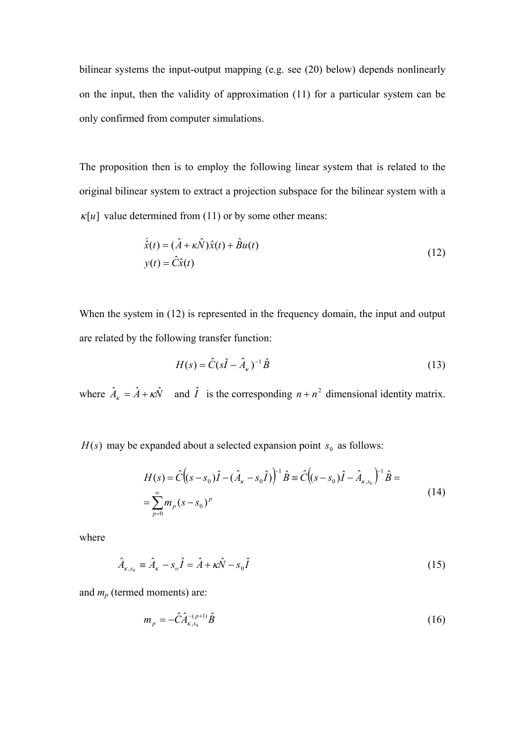bilinear systems the input-output mapping (e.g. see (20) below) depends nonlinearly on the input, then the validity of approximation (11) for a particular system can be only confirmed from computer simulations.

The proposition then is to employ the following linear system that is related to the original bilinear system to extract a projection subspace for the bilinear system with a  $\kappa[u]$  value determined from (11) or by some other means:

$$
\dot{\hat{x}}(t) = (\hat{A} + \kappa \hat{N})\hat{x}(t) + \hat{B}u(t)
$$
  
\n
$$
y(t) = \hat{C}\hat{x}(t)
$$
\n(12)

When the system in (12) is represented in the frequency domain, the input and output are related by the following transfer function:

$$
H(s) = \hat{C}(s\hat{I} - \hat{A}_{\kappa})^{-1}\hat{B}
$$
\n(13)

where  $\hat{A}_{k} = \hat{A} + \kappa \hat{N}$  and  $\hat{I}$  is the corresponding  $n + n^2$  dimensional identity matrix.

 $H(s)$  may be expanded about a selected expansion point  $s_0$  as follows:

$$
H(s) = \hat{C}((s - s_0)\hat{I} - (\hat{A}_{\kappa} - s_0\hat{I}))^{-1}\hat{B} = \hat{C}((s - s_0)\hat{I} - \hat{A}_{\kappa, s_0})^{-1}\hat{B} =
$$
  
= 
$$
\sum_{p=0}^{\infty} m_p (s - s_0)^p
$$
 (14)

where

$$
\hat{A}_{\kappa,s_0} = \hat{A}_{\kappa} - s_o \hat{I} = \hat{A} + \kappa \hat{N} - s_0 \hat{I}
$$
\n(15)

and *mp* (termed moments) are:

$$
m_p = -\hat{C}\hat{A}_{\kappa, s_0}^{-(p+1)}\hat{B}
$$
 (16)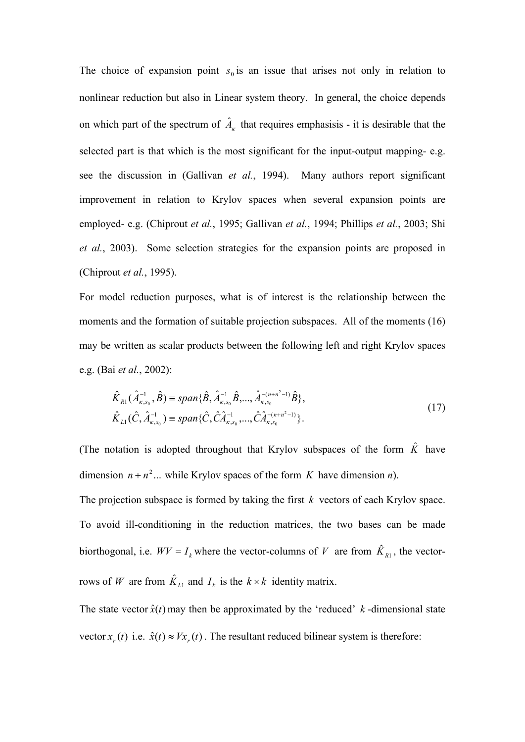The choice of expansion point  $s_0$  is an issue that arises not only in relation to nonlinear reduction but also in Linear system theory. In general, the choice depends on which part of the spectrum of  $\hat{A}_k$  that requires emphasisis - it is desirable that the selected part is that which is the most significant for the input-output mapping- e.g. see the discussion in (Gallivan *et al.*, 1994). Many authors report significant improvement in relation to Krylov spaces when several expansion points are employed- e.g. (Chiprout *et al.*, 1995; Gallivan *et al.*, 1994; Phillips *et al.*, 2003; Shi *et al.*, 2003). Some selection strategies for the expansion points are proposed in (Chiprout *et al.*, 1995).

For model reduction purposes, what is of interest is the relationship between the moments and the formation of suitable projection subspaces. All of the moments (16) may be written as scalar products between the following left and right Krylov spaces e.g. (Bai *et al.*, 2002):

$$
\hat{K}_{R1}(\hat{A}_{\kappa,s_0}^{-1},\hat{B}) = span{\hat{B}, \hat{A}_{\kappa,s_0}^{-1}\hat{B}, ..., \hat{A}_{\kappa,s_0}^{-(n+n^2-1)}\hat{B}}\,,
$$
\n
$$
\hat{K}_{L1}(\hat{C},\hat{A}_{\kappa,s_0}^{-1}) = span{\hat{C}, \hat{C}\hat{A}_{\kappa,s_0}^{-1}, ..., \hat{C}\hat{A}_{\kappa,s_0}^{-(n+n^2-1)}}\,.
$$
\n(17)

(The notation is adopted throughout that Krylov subspaces of the form  $\hat{K}$  have dimension  $n + n^2$ ... while Krylov spaces of the form *K* have dimension *n*). The projection subspace is formed by taking the first *k* vectors of each Krylov space. To avoid ill-conditioning in the reduction matrices, the two bases can be made biorthogonal, i.e.  $WV = I_k$  where the vector-columns of *V* are from  $\hat{K}_{R1}$ , the vectorrows of *W* are from  $\hat{K}_{LL}$  and  $I_k$  is the  $k \times k$  identity matrix.

The state vector  $\hat{x}(t)$  may then be approximated by the 'reduced' k-dimensional state vector  $x_r(t)$  i.e.  $\hat{x}(t) \approx Vx_r(t)$ . The resultant reduced bilinear system is therefore: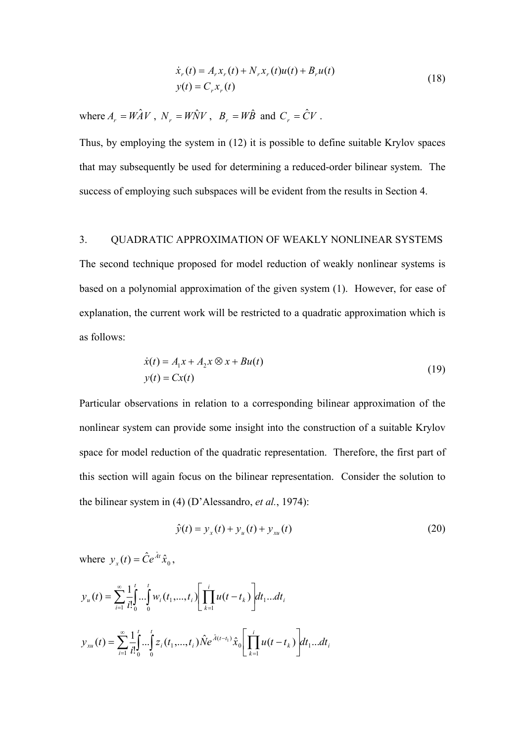$$
\dot{x}_r(t) = A_r x_r(t) + N_r x_r(t) u(t) + B_r u(t)
$$
  
\n
$$
y(t) = C_r x_r(t)
$$
\n(18)

where  $A_r = W \hat{A} V$ ,  $N_r = W \hat{N} V$ ,  $B_r = W \hat{B}$  and  $C_r = \hat{C} V$ .

Thus, by employing the system in (12) it is possible to define suitable Krylov spaces that may subsequently be used for determining a reduced-order bilinear system. The success of employing such subspaces will be evident from the results in Section 4.

# 3. QUADRATIC APPROXIMATION OF WEAKLY NONLINEAR SYSTEMS

The second technique proposed for model reduction of weakly nonlinear systems is based on a polynomial approximation of the given system (1). However, for ease of explanation, the current work will be restricted to a quadratic approximation which is as follows:

$$
\begin{aligned} \n\dot{x}(t) &= A_1 x + A_2 x \otimes x + B u(t) \\ \ny(t) &= Cx(t) \tag{19} \n\end{aligned}
$$

Particular observations in relation to a corresponding bilinear approximation of the nonlinear system can provide some insight into the construction of a suitable Krylov space for model reduction of the quadratic representation. Therefore, the first part of this section will again focus on the bilinear representation. Consider the solution to the bilinear system in (4) (D'Alessandro, *et al.*, 1974):

$$
\hat{y}(t) = y_x(t) + y_u(t) + y_{xu}(t)
$$
\n(20)

where  $y_x(t) = \hat{C}e^{\hat{A}t}\hat{x}_0$ ,

$$
y_{u}(t) = \sum_{i=1}^{\infty} \frac{1}{i!} \int_{0}^{t} \dots \int_{0}^{t} w_{i}(t_{1},...,t_{i}) \left[ \prod_{k=1}^{i} u(t-t_{k}) \right] dt_{1}...dt_{i}
$$
  

$$
y_{xu}(t) = \sum_{i=1}^{\infty} \frac{1}{i!} \int_{0}^{t} \dots \int_{0}^{t} z_{i}(t_{1},...,t_{i}) \hat{N} e^{\hat{\lambda}(t-t_{1})} \hat{x}_{0} \left[ \prod_{k=1}^{i} u(t-t_{k}) \right] dt_{1}...dt_{i}
$$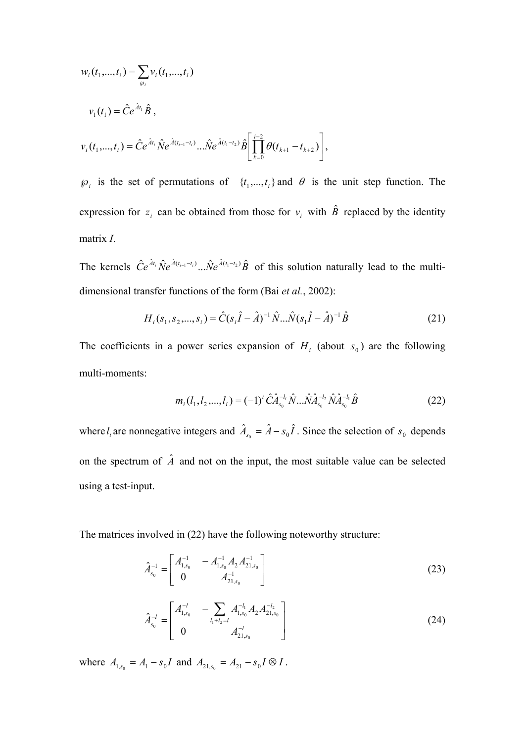$$
w_i(t_1,...,t_i) = \sum_{\wp_i} v_i(t_1,...,t_i)
$$
  

$$
v_1(t_1) = \hat{C}e^{\hat{A}t_1}\hat{B},
$$
  

$$
v_i(t_1,...,t_i) = \hat{C}e^{\hat{A}t_i}\hat{N}e^{\hat{A}(t_{i-1}-t_i)}...\hat{N}e^{\hat{A}(t_1-t_2)}\hat{B}\left[\prod_{k=0}^{i-2}\theta(t_{k+1}-t_{k+2})\right],
$$

 $\mathcal{P}_i$  is the set of permutations of  $\{t_1, \ldots, t_i\}$  and  $\theta$  is the unit step function. The expression for  $z_i$  can be obtained from those for  $v_i$  with  $\hat{B}$  replaced by the identity matrix *I*.

The kernels  $\hat{C}e^{\hat{A}t_i}\hat{N}e^{\hat{A}(t_{i-1}-t_i)}...\hat{N}e^{\hat{A}(t_1-t_2)}\hat{B}$  of this solution naturally lead to the multidimensional transfer functions of the form (Bai *et al.*, 2002):

$$
H_i(s_1, s_2, \dots, s_i) = \hat{C}(s_i \hat{I} - \hat{A})^{-1} \hat{N} \dots \hat{N} (s_1 \hat{I} - \hat{A})^{-1} \hat{B}
$$
(21)

The coefficients in a power series expansion of  $H_i$  (about  $s_0$ ) are the following multi-moments:

$$
m_i(l_1, l_2, \dots, l_i) = (-1)^i \hat{C} \hat{A}_{s_0}^{-l_i} \hat{N} \dots \hat{N} \hat{A}_{s_0}^{-l_2} \hat{N} \hat{A}_{s_0}^{-l_i} \hat{B}
$$
(22)

where  $l_i$  are nonnegative integers and  $\hat{A}_{s_0} = \hat{A} - s_0 \hat{I}$ . Since the selection of  $s_0$  depends on the spectrum of  $\hat{A}$  and not on the input, the most suitable value can be selected using a test-input.

The matrices involved in (22) have the following noteworthy structure:

$$
\hat{A}_{s_0}^{-1} = \begin{bmatrix} A_{1,s_0}^{-1} & -A_{1,s_0}^{-1} A_2 A_{21,s_0}^{-1} \\ 0 & A_{21,s_0}^{-1} \end{bmatrix}
$$
\n(23)

$$
\hat{A}_{s_0}^{-l} = \begin{bmatrix} A_{1,s_0}^{-l} & -\sum_{l_1+l_2=l} A_{1,s_0}^{-l_1} A_2 A_{21,s_0}^{-l_2} \\ 0 & A_{21,s_0}^{-l} \end{bmatrix}
$$
\n(24)

where  $A_{1,s_0} = A_1 - s_0 I$  and  $A_{21,s_0} = A_{21} - s_0 I \otimes I$ .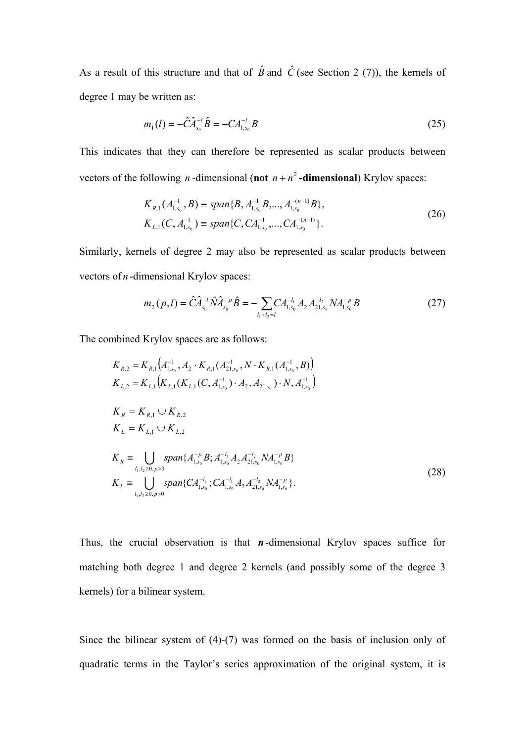As a result of this structure and that of  $\hat{B}$  and  $\hat{C}$  (see Section 2 (7)), the kernels of degree 1 may be written as:

$$
m_1(l) = -\hat{C}\hat{A}_{s_0}^{-l}\hat{B} = -CA_{1,s_0}^{-l}B
$$
\n(25)

This indicates that they can therefore be represented as scalar products between vectors of the following *n*-dimensional (not  $n + n^2$ -dimensional) Krylov spaces:

$$
K_{R,1}(A_{1,s_0}^{-1}, B) \equiv span{B, A_{1,s_0}^{-1}B, ..., A_{1,s_0}^{-(n-1)}B},
$$
  
\n
$$
K_{L,1}(C, A_{1,s_0}^{-1}) \equiv span{C, CA_{1,s_0}^{-1}, ..., CA_{1,s_0}^{-(n-1)}}.
$$
\n(26)

Similarly, kernels of degree 2 may also be represented as scalar products between vectors of *n* -dimensional Krylov spaces:

$$
m_2(p,l) = \hat{C}\hat{A}_{s_0}^{-l}\hat{N}\hat{A}_{s_0}^{-p}\hat{B} = -\sum_{l_1+l_2=l} CA_{1,s_0}^{-l_1}A_2A_{21,s_0}^{-l_2}NA_{1,s_0}^{-p}B
$$
\n(27)

The combined Krylov spaces are as follows:

$$
K_{R,2} = K_{R,1}(A_{1,s_0}^{-1}, A_2 \cdot K_{R,1}(A_{21,s_0}^{-1}, N \cdot K_{R,1}(A_{1,s_0}^{-1}, B))
$$
  
\n
$$
K_{L,2} = K_{L,1}(K_{L,1}(K_{L,1}(C, A_{1,s_0}^{-1}) \cdot A_2, A_{21,s_0}) \cdot N, A_{1,s_0}^{-1})
$$
  
\n
$$
K_R = K_{R,1} \cup K_{R,2}
$$
  
\n
$$
K_L = K_{L,1} \cup K_{L,2}
$$
  
\n
$$
K_R \equiv \bigcup_{I_1, I_2 \ge 0, p>0} span\{A_{1,s_0}^{-p} B; A_{1,s_0}^{-1} A_2 A_{21,s_0}^{-1} N A_{1,s_0}^{-p} B\}
$$
  
\n
$$
K_L \equiv \bigcup_{I_1, I_2 \ge 0, p>0} span\{CA_{1,s_0}^{-I_1}; CA_{1,s_0}^{-I_1} A_2 A_{21,s_0}^{-I_2} N A_{1,s_0}^{-p}\}.
$$
  
\n(28)

Thus, the crucial observation is that *n*-dimensional Krylov spaces suffice for matching both degree 1 and degree 2 kernels (and possibly some of the degree 3 kernels) for a bilinear system.

Since the bilinear system of (4)-(7) was formed on the basis of inclusion only of quadratic terms in the Taylor's series approximation of the original system, it is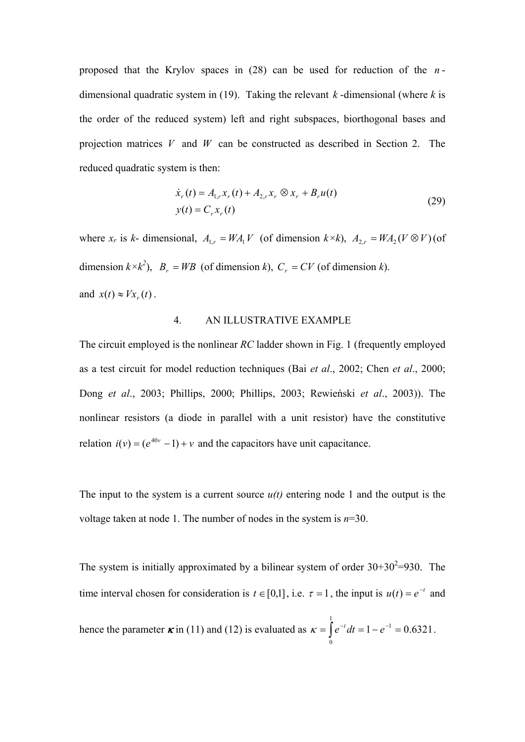proposed that the Krylov spaces in (28) can be used for reduction of the *n* dimensional quadratic system in (19). Taking the relevant *k* -dimensional (where *k* is the order of the reduced system) left and right subspaces, biorthogonal bases and projection matrices *V* and *W* can be constructed as described in Section 2. The reduced quadratic system is then:

$$
\dot{x}_r(t) = A_{1,r} x_r(t) + A_{2,r} x_r \otimes x_r + B_r u(t)
$$
  
\n
$$
y(t) = C_r x_r(t)
$$
\n(29)

where  $x_r$  is  $k$ - dimensional,  $A_{1,r} = WA_1V$  (of dimension  $k \times k$ ),  $A_{2,r} = WA_2(V \otimes V)$  (of dimension  $k \times k^2$ ,  $B_r = WB$  (of dimension *k*),  $C_r = CV$  (of dimension *k*). and  $x(t) \approx Vx_*(t)$ .

#### 4. AN ILLUSTRATIVE EXAMPLE

The circuit employed is the nonlinear *RC* ladder shown in Fig. 1 (frequently employed as a test circuit for model reduction techniques (Bai *et al*., 2002; Chen *et al*., 2000; Dong *et al*., 2003; Phillips, 2000; Phillips, 2003; Rewieński *et al*., 2003)). The nonlinear resistors (a diode in parallel with a unit resistor) have the constitutive relation  $i(v) = (e^{40v} - 1) + v$  and the capacitors have unit capacitance.

The input to the system is a current source  $u(t)$  entering node 1 and the output is the voltage taken at node 1. The number of nodes in the system is *n*=30.

The system is initially approximated by a bilinear system of order  $30+30^2=930$ . The time interval chosen for consideration is  $t \in [0,1]$ , i.e.  $\tau = 1$ , the input is  $u(t) = e^{-t}$  and hence the parameter  $\kappa$  in (11) and (12) is evaluated as  $\kappa = \int e^{-t} dt = 1 - e^{-1} = 0.6321$ 1  $\mathbf 0$  $\kappa = \int e^{-t} dt = 1 - e^{-1} = 0.6321$ .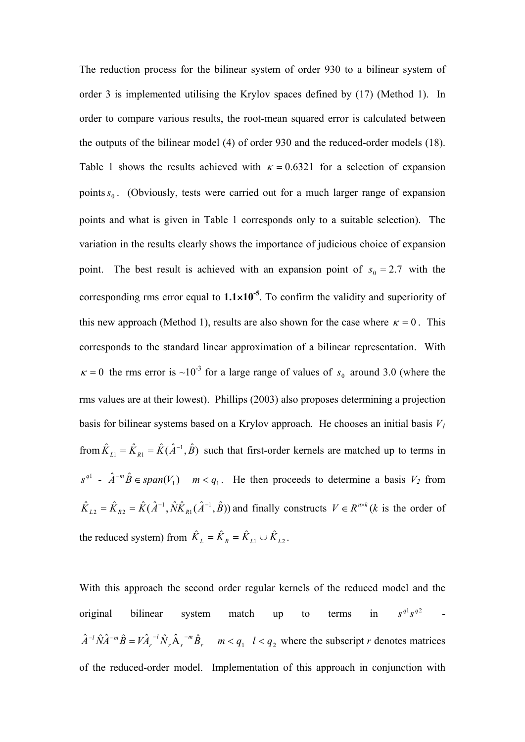The reduction process for the bilinear system of order 930 to a bilinear system of order 3 is implemented utilising the Krylov spaces defined by (17) (Method 1). In order to compare various results, the root-mean squared error is calculated between the outputs of the bilinear model (4) of order 930 and the reduced-order models (18). Table 1 shows the results achieved with  $\kappa = 0.6321$  for a selection of expansion points  $s_0$ . (Obviously, tests were carried out for a much larger range of expansion points and what is given in Table 1 corresponds only to a suitable selection). The variation in the results clearly shows the importance of judicious choice of expansion point. The best result is achieved with an expansion point of  $s_0 = 2.7$  with the corresponding rms error equal to  $1.1 \times 10^{-5}$ . To confirm the validity and superiority of this new approach (Method 1), results are also shown for the case where  $\kappa = 0$ . This corresponds to the standard linear approximation of a bilinear representation. With  $\kappa = 0$  the rms error is ~10<sup>-3</sup> for a large range of values of  $s_0$  around 3.0 (where the rms values are at their lowest). Phillips (2003) also proposes determining a projection basis for bilinear systems based on a Krylov approach. He chooses an initial basis  $V_1$ from  $\hat{K}_{L1} = \hat{K}_{R1} = \hat{K}(\hat{A}^{-1}, \hat{B})$  such that first-order kernels are matched up to terms in  $a^{q1}$  -  $\hat{A}^{-m}\hat{B} \in span(V_1)$  *m* <  $q_1$ . He then proceeds to determine a basis  $V_2$  from  $\hat{K}_{L2} = \hat{K}_{R2} = \hat{K}(\hat{A}^{-1}, \hat{N}\hat{K}_{R1}(\hat{A}^{-1}, \hat{B}))$  and finally constructs  $V \in R^{n \times k}$  (k is the order of the reduced system) from  $\hat{K}_L = \hat{K}_R = \hat{K}_{L1} \cup \hat{K}_{L2}$ .

With this approach the second order regular kernels of the reduced model and the original bilinear system match up to terms in  $s^{q} s^{q}$  $s^{q_1} s^{q_2}$  $\hat{A}^{-l} \hat{N} \hat{A}^{-m} \hat{B} = V \hat{A}_r^{-l} \hat{N}_r \hat{A}_r^{-m} \hat{B}_r \quad m < q_1 \quad l < q_2$ *l* <sup>-*l*</sup>  $\hat{N}\hat{A}^{-m}\hat{B} = V\hat{A}_r^{-1}\hat{N}_r\hat{A}_r^{-m}\hat{B}_r$  *m* < *q*<sub>1</sub> *l* < *q*<sub>2</sub> where the subscript *r* denotes matrices of the reduced-order model. Implementation of this approach in conjunction with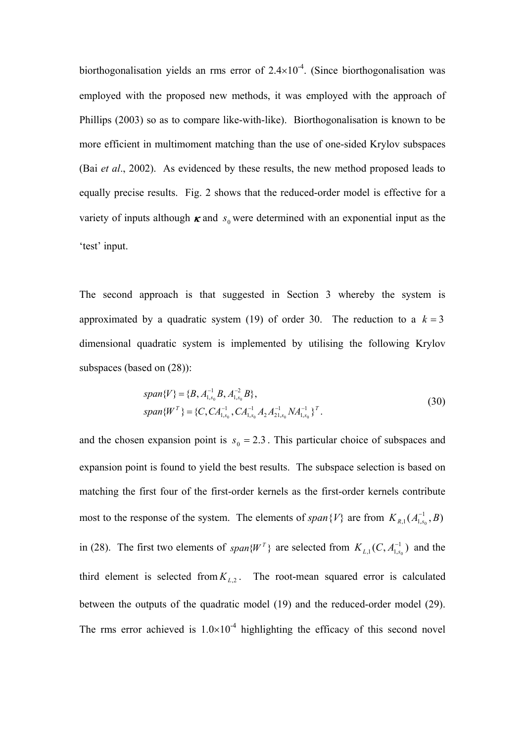biorthogonalisation yields an rms error of  $2.4\times10^{-4}$ . (Since biorthogonalisation was employed with the proposed new methods, it was employed with the approach of Phillips (2003) so as to compare like-with-like). Biorthogonalisation is known to be more efficient in multimoment matching than the use of one-sided Krylov subspaces (Bai *et al*., 2002). As evidenced by these results, the new method proposed leads to equally precise results. Fig. 2 shows that the reduced-order model is effective for a variety of inputs although  $\kappa$  and  $s_0$  were determined with an exponential input as the 'test' input.

The second approach is that suggested in Section 3 whereby the system is approximated by a quadratic system (19) of order 30. The reduction to a  $k = 3$ dimensional quadratic system is implemented by utilising the following Krylov subspaces (based on (28)):

$$
span{V} = {B, A_{1,s_0}^{-1}B, A_{1,s_0}^{-2}B},
$$
  
\n
$$
span{W^T} = {C, CA_{1,s_0}^{-1}, CA_{1,s_0}^{-1}A_2A_{21,s_0}^{-1}NA_{1,s_0}^{-1}}^T.
$$
\n(30)

and the chosen expansion point is  $s_0 = 2.3$ . This particular choice of subspaces and expansion point is found to yield the best results. The subspace selection is based on matching the first four of the first-order kernels as the first-order kernels contribute most to the response of the system. The elements of *span*{*V*} are from  $K_{R,1}(A_{1,s_0}^{-1},B)$ in (28). The first two elements of *span*{ $W<sup>T</sup>$ } are selected from  $K_{L,1}(C, A_{1,s_0}^{-1})$  and the third element is selected from  $K_{L2}$ . The root-mean squared error is calculated between the outputs of the quadratic model (19) and the reduced-order model (29). The rms error achieved is  $1.0\times10^{-4}$  highlighting the efficacy of this second novel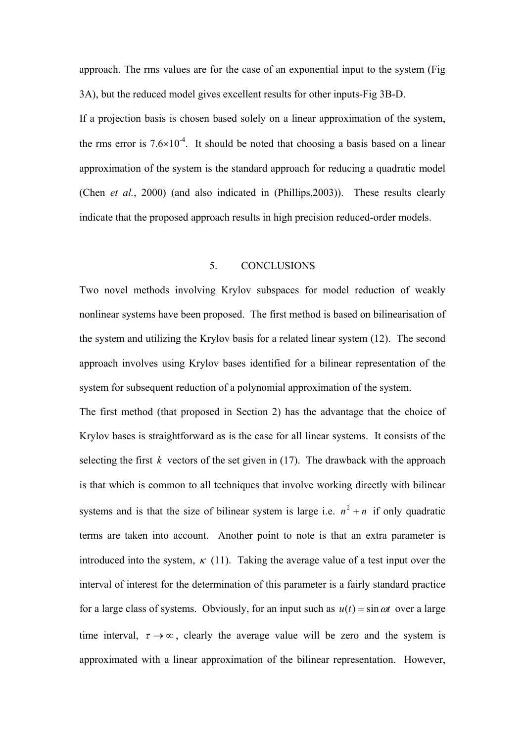approach. The rms values are for the case of an exponential input to the system (Fig 3A), but the reduced model gives excellent results for other inputs-Fig 3B-D.

If a projection basis is chosen based solely on a linear approximation of the system, the rms error is  $7.6\times10^{-4}$ . It should be noted that choosing a basis based on a linear approximation of the system is the standard approach for reducing a quadratic model (Chen *et al.*, 2000) (and also indicated in (Phillips,2003)). These results clearly indicate that the proposed approach results in high precision reduced-order models.

# 5. CONCLUSIONS

Two novel methods involving Krylov subspaces for model reduction of weakly nonlinear systems have been proposed. The first method is based on bilinearisation of the system and utilizing the Krylov basis for a related linear system (12). The second approach involves using Krylov bases identified for a bilinear representation of the system for subsequent reduction of a polynomial approximation of the system.

The first method (that proposed in Section 2) has the advantage that the choice of Krylov bases is straightforward as is the case for all linear systems. It consists of the selecting the first  $k$  vectors of the set given in (17). The drawback with the approach is that which is common to all techniques that involve working directly with bilinear systems and is that the size of bilinear system is large i.e.  $n^2 + n$  if only quadratic terms are taken into account. Another point to note is that an extra parameter is introduced into the system,  $\kappa$  (11). Taking the average value of a test input over the interval of interest for the determination of this parameter is a fairly standard practice for a large class of systems. Obviously, for an input such as  $u(t) = \sin \omega t$  over a large time interval,  $\tau \rightarrow \infty$ , clearly the average value will be zero and the system is approximated with a linear approximation of the bilinear representation. However,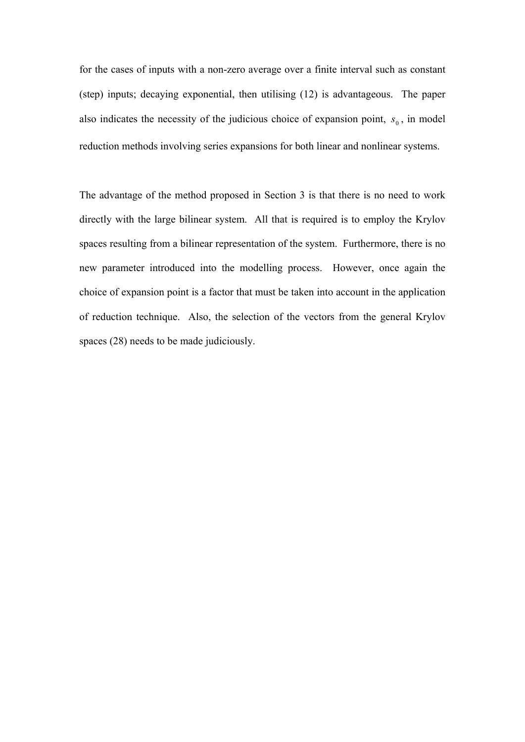for the cases of inputs with a non-zero average over a finite interval such as constant (step) inputs; decaying exponential, then utilising (12) is advantageous. The paper also indicates the necessity of the judicious choice of expansion point,  $s_0$ , in model reduction methods involving series expansions for both linear and nonlinear systems.

The advantage of the method proposed in Section 3 is that there is no need to work directly with the large bilinear system. All that is required is to employ the Krylov spaces resulting from a bilinear representation of the system. Furthermore, there is no new parameter introduced into the modelling process. However, once again the choice of expansion point is a factor that must be taken into account in the application of reduction technique. Also, the selection of the vectors from the general Krylov spaces (28) needs to be made judiciously.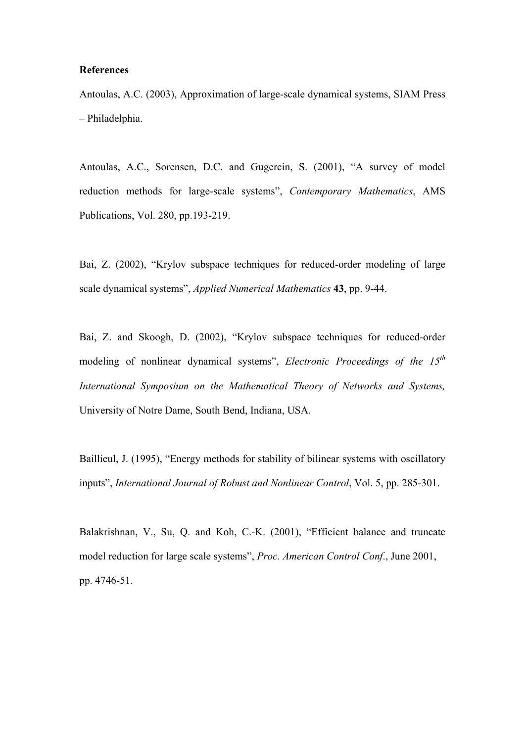#### **References**

Antoulas, A.C. (2003), Approximation of large-scale dynamical systems, SIAM Press – Philadelphia.

Antoulas, A.C., Sorensen, D.C. and Gugercin, S. (2001), "A survey of model reduction methods for large-scale systems", *Contemporary Mathematics*, AMS Publications, Vol. 280, pp.193-219.

Bai, Z. (2002), "Krylov subspace techniques for reduced-order modeling of large scale dynamical systems", *Applied Numerical Mathematics* **43**, pp. 9-44.

Bai, Z. and Skoogh, D. (2002), "Krylov subspace techniques for reduced-order modeling of nonlinear dynamical systems", *Electronic Proceedings of the 15th International Symposium on the Mathematical Theory of Networks and Systems,*  University of Notre Dame, South Bend, Indiana, USA.

Baillieul, J. (1995), "Energy methods for stability of bilinear systems with oscillatory inputs", *International Journal of Robust and Nonlinear Control*, Vol. 5, pp. 285-301.

Balakrishnan, V., Su, Q. and Koh, C.-K. (2001), "Efficient balance and truncate model reduction for large scale systems", *Proc. American Control Conf*., June 2001, pp. 4746-51.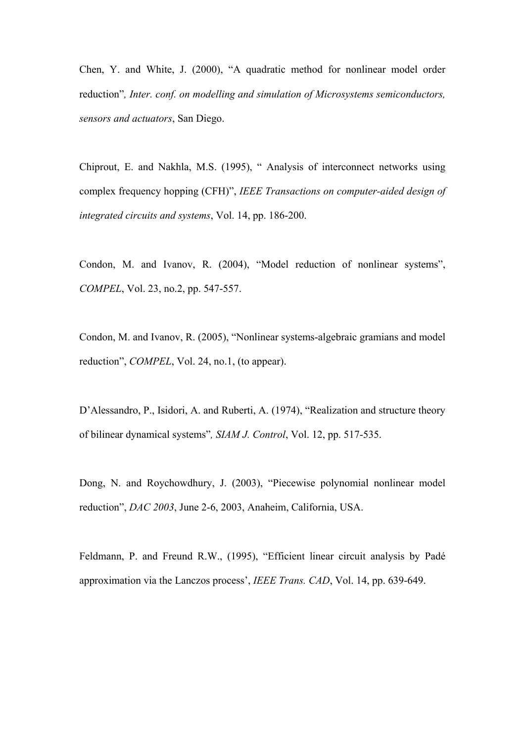Chen, Y. and White, J. (2000), "A quadratic method for nonlinear model order reduction"*, Inter. conf. on modelling and simulation of Microsystems semiconductors, sensors and actuators*, San Diego.

Chiprout, E. and Nakhla, M.S. (1995), " Analysis of interconnect networks using complex frequency hopping (CFH)", *IEEE Transactions on computer-aided design of integrated circuits and systems*, Vol. 14, pp. 186-200.

Condon, M. and Ivanov, R. (2004), "Model reduction of nonlinear systems", *COMPEL*, Vol. 23, no.2, pp. 547-557.

Condon, M. and Ivanov, R. (2005), "Nonlinear systems-algebraic gramians and model reduction", *COMPEL*, Vol. 24, no.1, (to appear).

D'Alessandro, P., Isidori, A. and Ruberti, A. (1974), "Realization and structure theory of bilinear dynamical systems"*, SIAM J. Control*, Vol. 12, pp. 517-535.

Dong, N. and Roychowdhury, J. (2003), "Piecewise polynomial nonlinear model reduction", *DAC 2003*, June 2-6, 2003, Anaheim, California, USA.

Feldmann, P. and Freund R.W., (1995), "Efficient linear circuit analysis by Padé approximation via the Lanczos process', *IEEE Trans. CAD*, Vol. 14, pp. 639-649.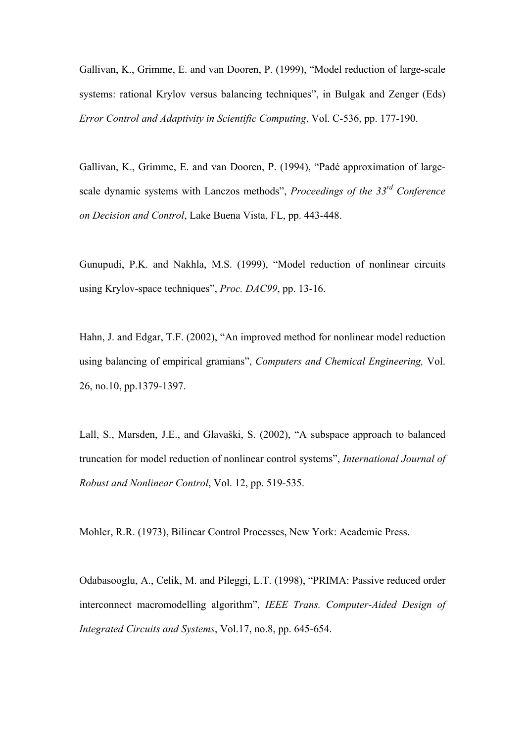Gallivan, K., Grimme, E. and van Dooren, P. (1999), "Model reduction of large-scale systems: rational Krylov versus balancing techniques", in Bulgak and Zenger (Eds) *Error Control and Adaptivity in Scientific Computing*, Vol. C-536, pp. 177-190.

Gallivan, K., Grimme, E. and van Dooren, P. (1994), "Padé approximation of largescale dynamic systems with Lanczos methods", *Proceedings of the 33rd Conference on Decision and Control*, Lake Buena Vista, FL, pp. 443-448.

Gunupudi, P.K. and Nakhla, M.S. (1999), "Model reduction of nonlinear circuits using Krylov-space techniques", *Proc. DAC99*, pp. 13-16.

Hahn, J. and Edgar, T.F. (2002), "An improved method for nonlinear model reduction using balancing of empirical gramians", *Computers and Chemical Engineering,* Vol. 26, no.10, pp.1379-1397.

Lall, S., Marsden, J.E., and Glavaški, S. (2002), "A subspace approach to balanced truncation for model reduction of nonlinear control systems", *International Journal of Robust and Nonlinear Control*, Vol. 12, pp. 519-535.

Mohler, R.R. (1973), Bilinear Control Processes, New York: Academic Press.

Odabasooglu, A., Celik, M. and Pileggi, L.T. (1998), "PRIMA: Passive reduced order interconnect macromodelling algorithm", *IEEE Trans. Computer-Aided Design of Integrated Circuits and Systems*, Vol.17, no.8, pp. 645-654.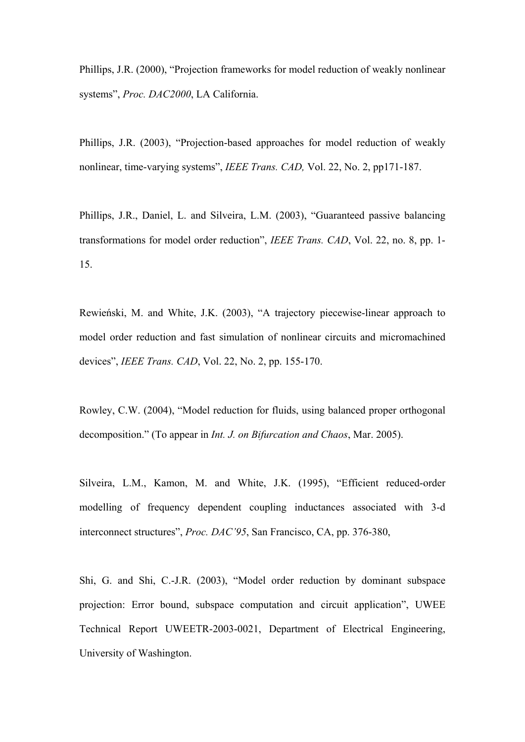Phillips, J.R. (2000), "Projection frameworks for model reduction of weakly nonlinear systems", *Proc. DAC2000*, LA California.

Phillips, J.R. (2003), "Projection-based approaches for model reduction of weakly nonlinear, time-varying systems", *IEEE Trans. CAD,* Vol. 22, No. 2, pp171-187.

Phillips, J.R., Daniel, L. and Silveira, L.M. (2003), "Guaranteed passive balancing transformations for model order reduction", *IEEE Trans. CAD*, Vol. 22, no. 8, pp. 1- 15.

Rewieński, M. and White, J.K. (2003), "A trajectory piecewise-linear approach to model order reduction and fast simulation of nonlinear circuits and micromachined devices", *IEEE Trans. CAD*, Vol. 22, No. 2, pp. 155-170.

Rowley, C.W. (2004), "Model reduction for fluids, using balanced proper orthogonal decomposition." (To appear in *Int. J. on Bifurcation and Chaos*, Mar. 2005).

Silveira, L.M., Kamon, M. and White, J.K. (1995), "Efficient reduced-order modelling of frequency dependent coupling inductances associated with 3-d interconnect structures", *Proc. DAC'95*, San Francisco, CA, pp. 376-380,

Shi, G. and Shi, C.-J.R. (2003), "Model order reduction by dominant subspace projection: Error bound, subspace computation and circuit application", UWEE Technical Report UWEETR-2003-0021, Department of Electrical Engineering, University of Washington.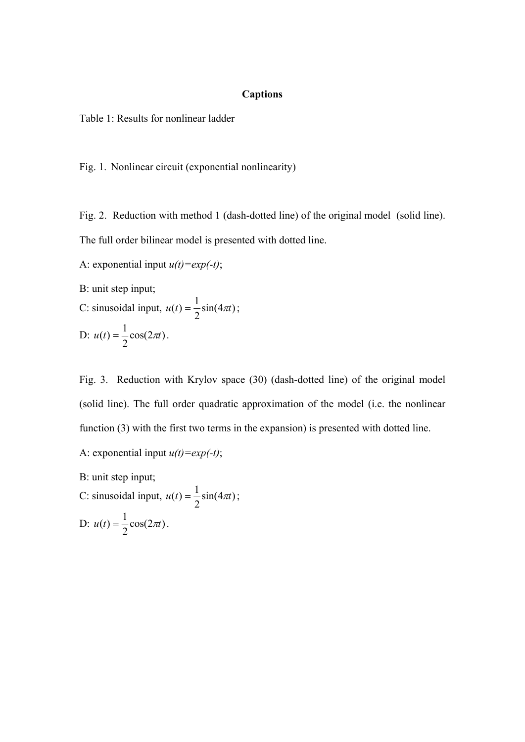# **Captions**

Table 1: Results for nonlinear ladder

Fig. 1. Nonlinear circuit (exponential nonlinearity)

Fig. 2. Reduction with method 1 (dash-dotted line) of the original model (solid line). The full order bilinear model is presented with dotted line.

A: exponential input  $u(t) = exp(-t)$ ;

B: unit step input;

C: sinusoidal input, 
$$
u(t) = \frac{1}{2}\sin(4\pi t)
$$
;  
D:  $u(t) = \frac{1}{2}\cos(2\pi t)$ .

Fig. 3. Reduction with Krylov space (30) (dash-dotted line) of the original model (solid line). The full order quadratic approximation of the model (i.e. the nonlinear function (3) with the first two terms in the expansion) is presented with dotted line.

A: exponential input  $u(t) = exp(-t)$ ;

B: unit step input;

C: sinusoidal input,  $u(t) = \frac{1}{2} \sin(4\pi t)$ ; D:  $u(t) = \frac{1}{2} \cos(2\pi t)$ .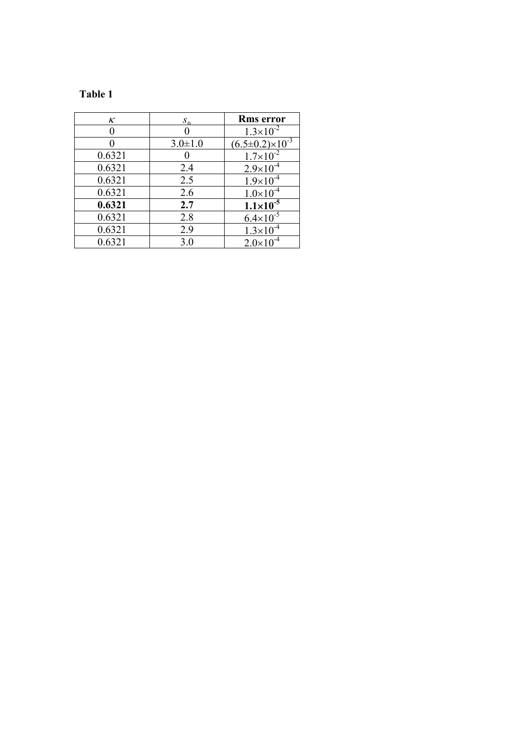# **Table 1**

| ĸ      | $S_{\alpha}$  | <b>Rms</b> error                     |
|--------|---------------|--------------------------------------|
|        |               | $1.3 \times 10^{-2}$                 |
|        | $3.0 \pm 1.0$ | $\frac{(6.5\pm0.2)\times10^{-3}}{2}$ |
| 0.6321 |               | $1.7\times10^{-2}$                   |
| 0.6321 | 2.4           | $2.9\times10^{-4}$                   |
| 0.6321 | 2.5           | $1.9\times10^{-4}$                   |
| 0.6321 | 2.6           | $1.0\times10^{-4}$                   |
| 0.6321 | 2.7           | $1.1 \times 10^{-5}$                 |
| 0.6321 | 2.8           | $6.4 \times 10^{-5}$                 |
| 0.6321 | 2.9           | $1.3 \times 10^{-4}$                 |
| 0.6321 | 3.0           | $2.0\times10^{-4}$                   |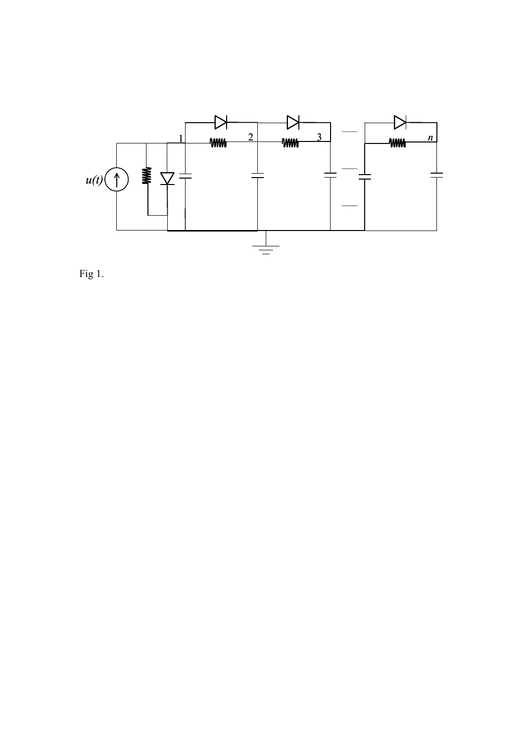

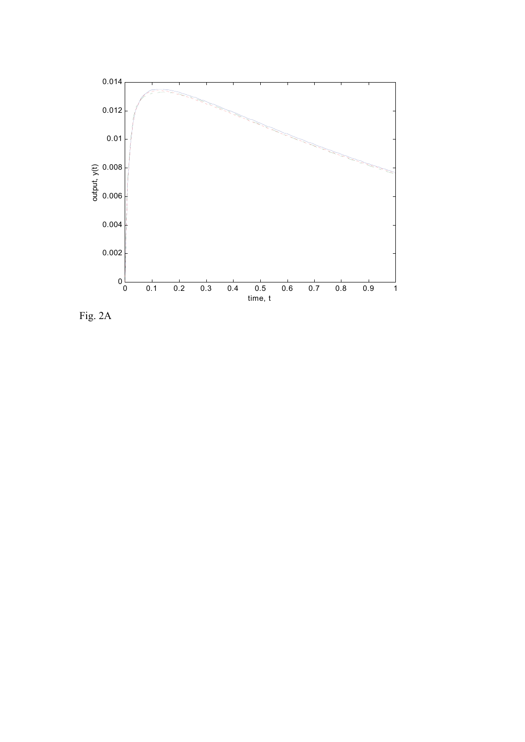

Fig. 2A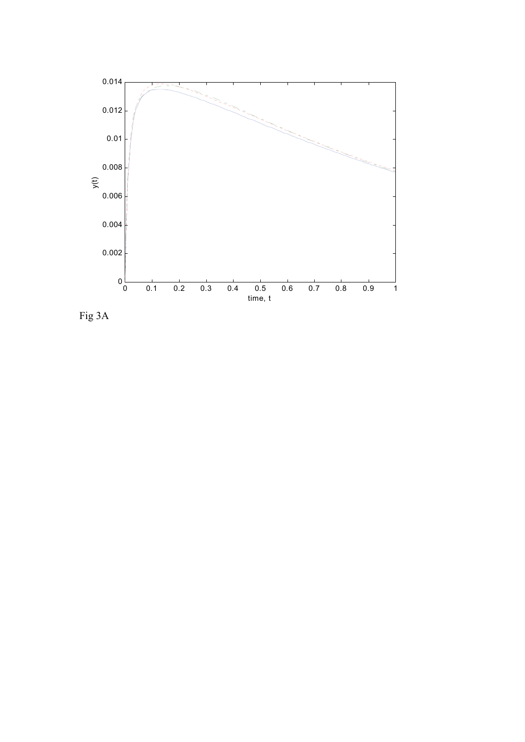

Fig 3A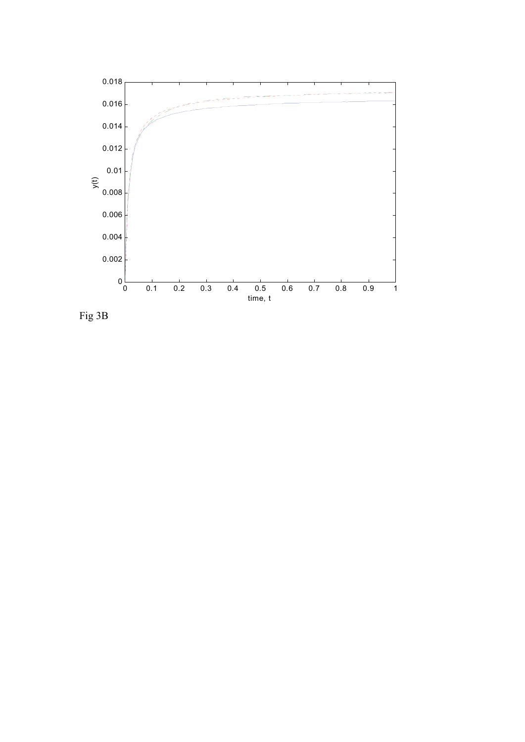

Fig 3B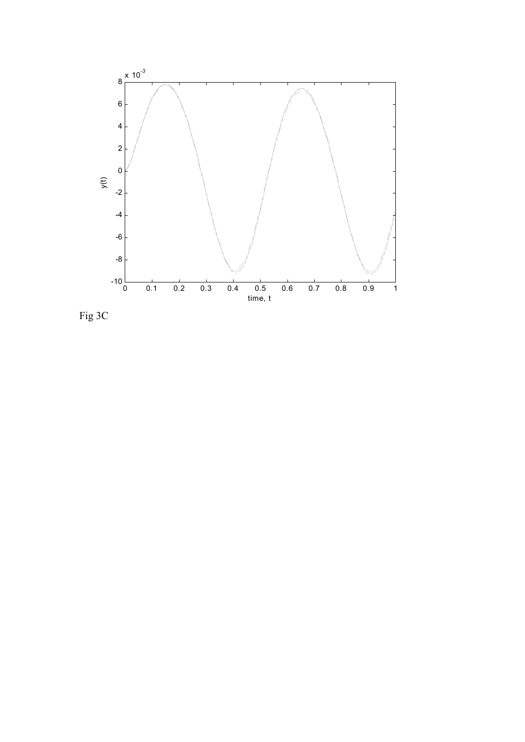

Fig 3C